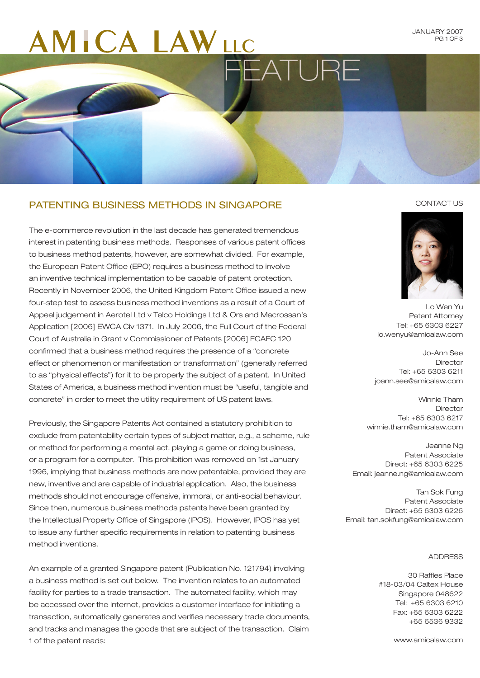### **ICA LAWLLC**  $\Box$

JANUARY 2007 PG 1 OF 3

#### Patenting Business Methods in Singapore

The e-commerce revolution in the last decade has generated tremendous interest in patenting business methods. Responses of various patent offices to business method patents, however, are somewhat divided. For example, the European Patent Office (EPO) requires a business method to involve an inventive technical implementation to be capable of patent protection. Recently in November 2006, the United Kingdom Patent Office issued a new four-step test to assess business method inventions as a result of a Court of Appeal judgement in Aerotel Ltd v Telco Holdings Ltd & Ors and Macrossan's Application [2006] EWCA Civ 1371. In July 2006, the Full Court of the Federal Court of Australia in Grant v Commissioner of Patents [2006] FCAFC 120 confirmed that a business method requires the presence of a "concrete effect or phenomenon or manifestation or transformation" (generally referred to as "physical effects") for it to be properly the subject of a patent. In United States of America, a business method invention must be "useful, tangible and concrete" in order to meet the utility requirement of US patent laws.

Previously, the Singapore Patents Act contained a statutory prohibition to exclude from patentability certain types of subject matter, e.g., a scheme, rule or method for performing a mental act, playing a game or doing business, or a program for a computer. This prohibition was removed on 1st January 1996, implying that business methods are now patentable, provided they are new, inventive and are capable of industrial application. Also, the business methods should not encourage offensive, immoral, or anti-social behaviour. Since then, numerous business methods patents have been granted by the Intellectual Property Office of Singapore (IPOS). However, IPOS has yet to issue any further specific requirements in relation to patenting business method inventions.

An example of a granted Singapore patent (Publication No. 121794) involving a business method is set out below. The invention relates to an automated facility for parties to a trade transaction. The automated facility, which may be accessed over the Internet, provides a customer interface for initiating a transaction, automatically generates and verifies necessary trade documents, and tracks and manages the goods that are subject of the transaction. Claim 1 of the patent reads:

#### CONTACT US



Lo Wen Yu Patent Attorney Tel: +65 6303 6227 lo.wenyu@amicalaw.com

Jo-Ann See Director Tel: +65 6303 6211 joann.see@amicalaw.com

Winnie Tham **Director** Tel: +65 6303 6217 winnie.tham@amicalaw.com

Jeanne Ng Patent Associate Direct: +65 6303 6225 Email: jeanne.ng@amicalaw.com

Tan Sok Fung Patent Associate Direct: +65 6303 6226 Email: tan.sokfung@amicalaw.com

#### ADDRESS

30 Raffles Place #18-03/04 Caltex House Singapore 048622 Tel: +65 6303 6210 Fax: +65 6303 6222 +65 6536 9332

www.amicalaw.com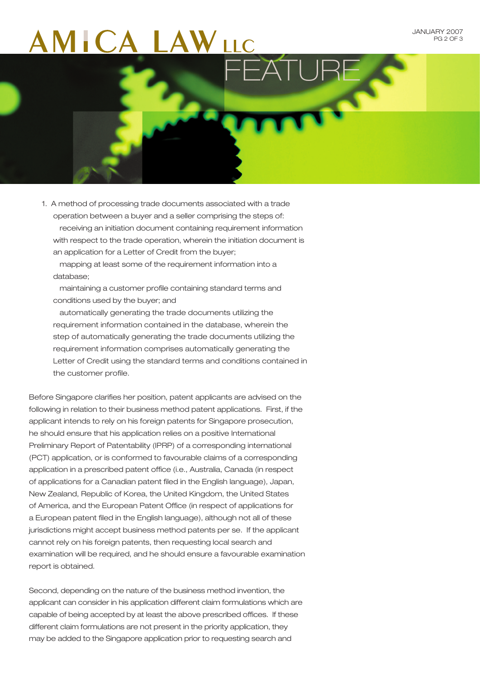# FEATURE

operation between a buyer and a seller comprising the steps of: receiving an initiation document containing requirement information with respect to the trade operation, wherein the initiation document is an application for a Letter of Credit from the buyer;

1. A method of processing trade documents associated with a trade

 mapping at least some of the requirement information into a database;

 maintaining a customer profile containing standard terms and conditions used by the buyer; and

 automatically generating the trade documents utilizing the requirement information contained in the database, wherein the step of automatically generating the trade documents utilizing the requirement information comprises automatically generating the Letter of Credit using the standard terms and conditions contained in the customer profile.

Before Singapore clarifies her position, patent applicants are advised on the following in relation to their business method patent applications. First, if the applicant intends to rely on his foreign patents for Singapore prosecution, he should ensure that his application relies on a positive International Preliminary Report of Patentability (IPRP) of a corresponding international (PCT) application, or is conformed to favourable claims of a corresponding application in a prescribed patent office (i.e., Australia, Canada (in respect of applications for a Canadian patent filed in the English language), Japan, New Zealand, Republic of Korea, the United Kingdom, the United States of America, and the European Patent Office (in respect of applications for a European patent filed in the English language), although not all of these jurisdictions might accept business method patents per se. If the applicant cannot rely on his foreign patents, then requesting local search and examination will be required, and he should ensure a favourable examination report is obtained.

Second, depending on the nature of the business method invention, the applicant can consider in his application different claim formulations which are capable of being accepted by at least the above prescribed offices. If these different claim formulations are not present in the priority application, they may be added to the Singapore application prior to requesting search and